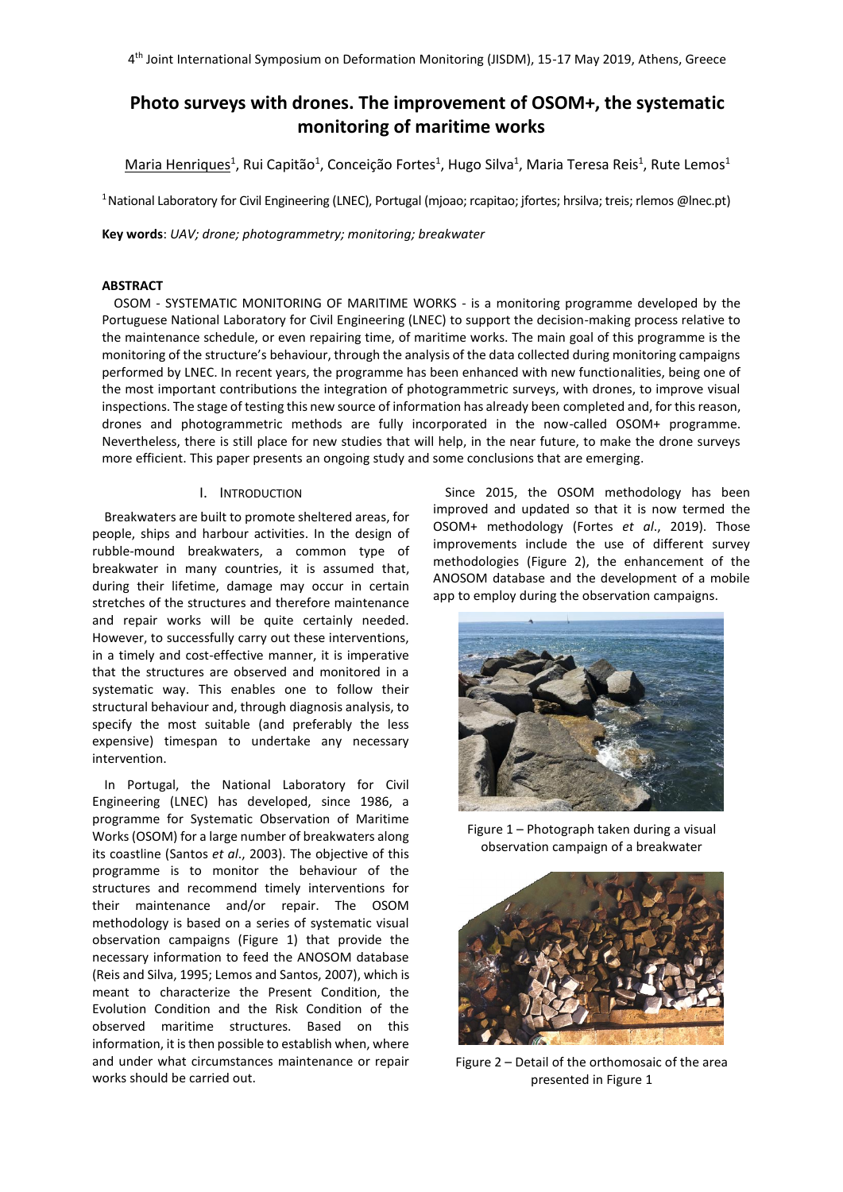# **Photo surveys with drones. The improvement of OSOM+, the systematic monitoring of maritime works**

 $\mathsf{Maria}$  Henriques $^1$ , Rui Capitão $^1$ , Conceição Fortes $^1$ , Hugo Silva $^1$ , Maria Teresa Reis $^1$ , Rute Lemos $^1$ 

<sup>1</sup>National Laboratory for Civil Engineering (LNEC), Portugal (mjoao; rcapitao; jfortes; hrsilva; treis; rlemos @lnec.pt)

**Key words**: *UAV; drone; photogrammetry; monitoring; breakwater*

# **ABSTRACT**

OSOM - SYSTEMATIC MONITORING OF MARITIME WORKS - is a monitoring programme developed by the Portuguese National Laboratory for Civil Engineering (LNEC) to support the decision-making process relative to the maintenance schedule, or even repairing time, of maritime works. The main goal of this programme is the monitoring of the structure's behaviour, through the analysis of the data collected during monitoring campaigns performed by LNEC. In recent years, the programme has been enhanced with new functionalities, being one of the most important contributions the integration of photogrammetric surveys, with drones, to improve visual inspections. The stage of testing this new source of information has already been completed and, for this reason, drones and photogrammetric methods are fully incorporated in the now-called OSOM+ programme. Nevertheless, there is still place for new studies that will help, in the near future, to make the drone surveys more efficient. This paper presents an ongoing study and some conclusions that are emerging.

## I. INTRODUCTION

Breakwaters are built to promote sheltered areas, for people, ships and harbour activities. In the design of rubble-mound breakwaters, a common type of breakwater in many countries, it is assumed that, during their lifetime, damage may occur in certain stretches of the structures and therefore maintenance and repair works will be quite certainly needed. However, to successfully carry out these interventions, in a timely and cost-effective manner, it is imperative that the structures are observed and monitored in a systematic way. This enables one to follow their structural behaviour and, through diagnosis analysis, to specify the most suitable (and preferably the less expensive) timespan to undertake any necessary intervention.

In Portugal, the National Laboratory for Civil Engineering (LNEC) has developed, since 1986, a programme for Systematic Observation of Maritime Works (OSOM) for a large number of breakwaters along its coastline (Santos *et al*., 2003). The objective of this programme is to monitor the behaviour of the structures and recommend timely interventions for their maintenance and/or repair. The OSOM methodology is based on a series of systematic visual observation campaigns (Figure 1) that provide the necessary information to feed the ANOSOM database (Reis and Silva, 1995; Lemos and Santos, 2007), which is meant to characterize the Present Condition, the Evolution Condition and the Risk Condition of the observed maritime structures. Based on this information, it is then possible to establish when, where and under what circumstances maintenance or repair works should be carried out.

Since 2015, the OSOM methodology has been improved and updated so that it is now termed the OSOM+ methodology (Fortes *et al*., 2019). Those improvements include the use of different survey methodologies (Figure 2), the enhancement of the ANOSOM database and the development of a mobile app to employ during the observation campaigns.



Figure 1 – Photograph taken during a visual observation campaign of a breakwater



Figure 2 – Detail of the orthomosaic of the area presented in Figure 1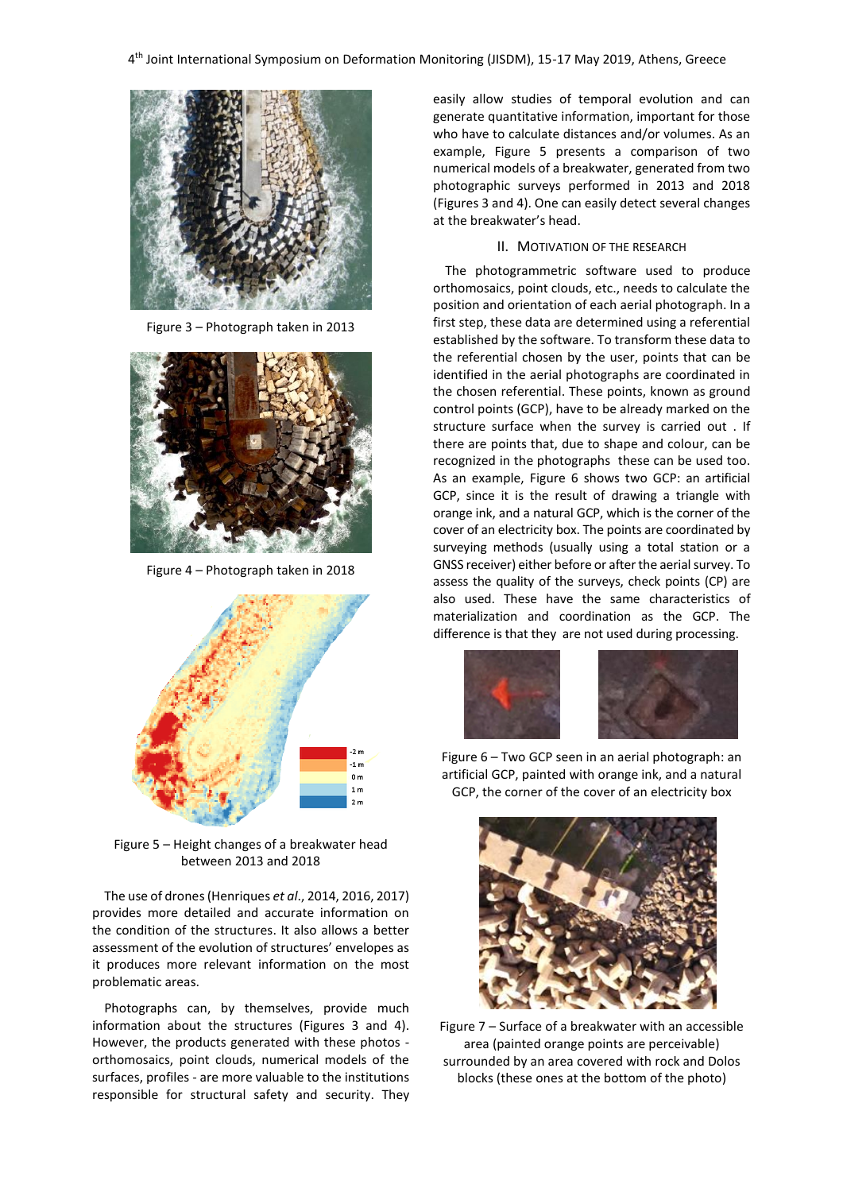

Figure 3 – Photograph taken in 2013



Figure 4 – Photograph taken in 2018



Figure 5 – Height changes of a breakwater head between 2013 and 2018

The use of drones(Henriques *et al*., 2014, 2016, 2017) provides more detailed and accurate information on the condition of the structures. It also allows a better assessment of the evolution of structures' envelopes as it produces more relevant information on the most problematic areas.

Photographs can, by themselves, provide much information about the structures (Figures 3 and 4). However, the products generated with these photos orthomosaics, point clouds, numerical models of the surfaces, profiles - are more valuable to the institutions responsible for structural safety and security. They easily allow studies of temporal evolution and can generate quantitative information, important for those who have to calculate distances and/or volumes. As an example, Figure 5 presents a comparison of two numerical models of a breakwater, generated from two photographic surveys performed in 2013 and 2018 (Figures 3 and 4). One can easily detect several changes at the breakwater's head.

#### II. MOTIVATION OF THE RESEARCH

The photogrammetric software used to produce orthomosaics, point clouds, etc., needs to calculate the position and orientation of each aerial photograph. In a first step, these data are determined using a referential established by the software. To transform these data to the referential chosen by the user, points that can be identified in the aerial photographs are coordinated in the chosen referential. These points, known as ground control points (GCP), have to be already marked on the structure surface when the survey is carried out . If there are points that, due to shape and colour, can be recognized in the photographs these can be used too. As an example, Figure 6 shows two GCP: an artificial GCP, since it is the result of drawing a triangle with orange ink, and a natural GCP, which is the corner of the cover of an electricity box. The points are coordinated by surveying methods (usually using a total station or a GNSS receiver) either before or after the aerial survey. To assess the quality of the surveys, check points (CP) are also used. These have the same characteristics of materialization and coordination as the GCP. The difference is that they are not used during processing.





Figure 6 – Two GCP seen in an aerial photograph: an artificial GCP, painted with orange ink, and a natural GCP, the corner of the cover of an electricity box



Figure 7 – Surface of a breakwater with an accessible area (painted orange points are perceivable) surrounded by an area covered with rock and Dolos blocks (these ones at the bottom of the photo)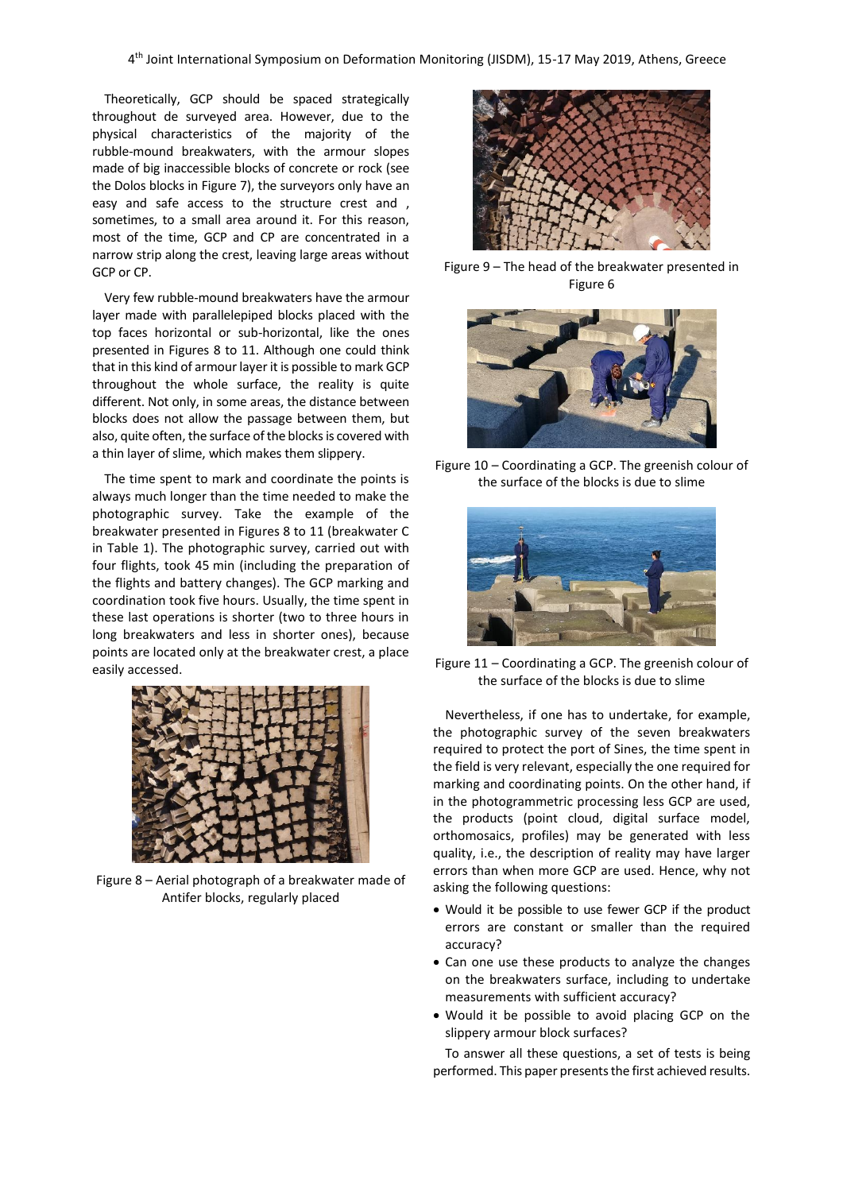Theoretically, GCP should be spaced strategically throughout de surveyed area. However, due to the physical characteristics of the majority of the rubble-mound breakwaters, with the armour slopes made of big inaccessible blocks of concrete or rock (see the Dolos blocks in Figure 7), the surveyors only have an easy and safe access to the structure crest and , sometimes, to a small area around it. For this reason, most of the time, GCP and CP are concentrated in a narrow strip along the crest, leaving large areas without GCP or CP.

Very few rubble-mound breakwaters have the armour layer made with parallelepiped blocks placed with the top faces horizontal or sub-horizontal, like the ones presented in Figures 8 to 11. Although one could think that in this kind of armour layer it is possible to mark GCP throughout the whole surface, the reality is quite different. Not only, in some areas, the distance between blocks does not allow the passage between them, but also, quite often, the surface of the blocks is covered with a thin layer of slime, which makes them slippery.

The time spent to mark and coordinate the points is always much longer than the time needed to make the photographic survey. Take the example of the breakwater presented in Figures 8 to 11 (breakwater C in Table 1). The photographic survey, carried out with four flights, took 45 min (including the preparation of the flights and battery changes). The GCP marking and coordination took five hours. Usually, the time spent in these last operations is shorter (two to three hours in long breakwaters and less in shorter ones), because points are located only at the breakwater crest, a place easily accessed.



Figure 8 – Aerial photograph of a breakwater made of Antifer blocks, regularly placed



Figure 9 – The head of the breakwater presented in Figure 6



Figure 10 – Coordinating a GCP. The greenish colour of the surface of the blocks is due to slime



Figure 11 – Coordinating a GCP. The greenish colour of the surface of the blocks is due to slime

Nevertheless, if one has to undertake, for example, the photographic survey of the seven breakwaters required to protect the port of Sines, the time spent in the field is very relevant, especially the one required for marking and coordinating points. On the other hand, if in the photogrammetric processing less GCP are used, the products (point cloud, digital surface model, orthomosaics, profiles) may be generated with less quality, i.e., the description of reality may have larger errors than when more GCP are used. Hence, why not asking the following questions:

- Would it be possible to use fewer GCP if the product errors are constant or smaller than the required accuracy?
- Can one use these products to analyze the changes on the breakwaters surface, including to undertake measurements with sufficient accuracy?
- Would it be possible to avoid placing GCP on the slippery armour block surfaces?

To answer all these questions, a set of tests is being performed. This paper presents the first achieved results.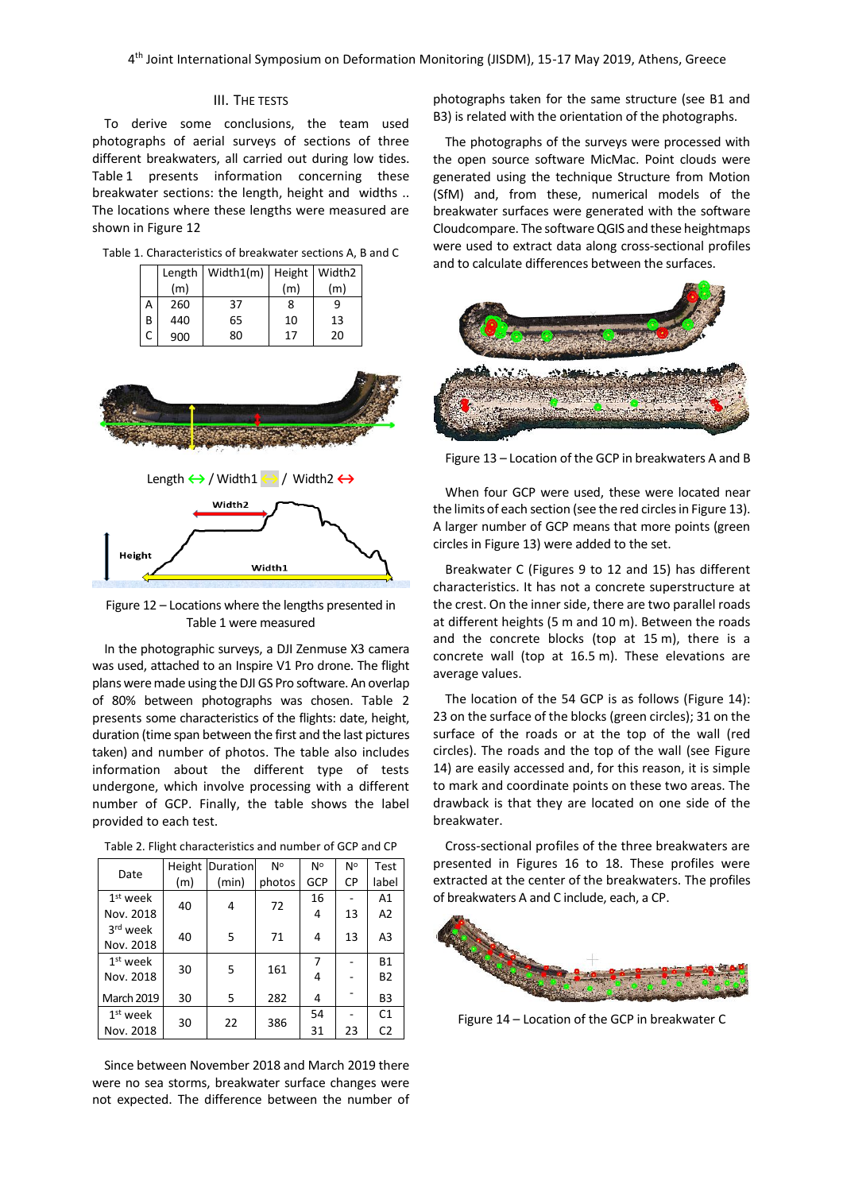#### III. THE TESTS

To derive some conclusions, the team used photographs of aerial surveys of sections of three different breakwaters, all carried out during low tides. Table 1 presents information concerning these breakwater sections: the length, height and widths .. The locations where these lengths were measured are shown in Figure 12

| Table 1. Characteristics of breakwater sections A, B and C |  |  |
|------------------------------------------------------------|--|--|
|------------------------------------------------------------|--|--|

|   |     | Length   Width1(m)   Height   Width2 |     |     |  |
|---|-----|--------------------------------------|-----|-----|--|
|   | (m) |                                      | (m) | (m) |  |
| А | 260 | 37                                   | 8   |     |  |
| В | 440 | 65                                   | 10  | 13  |  |
|   | 900 | 80                                   | 17  | 20  |  |



Length **↔**/ Width1 **↔**/ Width2 **↔**



Figure 12 – Locations where the lengths presented in Table 1 were measured

In the photographic surveys, a DJI Zenmuse X3 camera was used, attached to an Inspire V1 Pro drone. The flight plans were made using the DJI GS Pro software. An overlap of 80% between photographs was chosen. Table 2 presents some characteristics of the flights: date, height, duration (time span between the first and the last pictures taken) and number of photos. The table also includes information about the different type of tests undergone, which involve processing with a different number of GCP. Finally, the table shows the label provided to each test.

|                               |     | Height Duration | N°     | N°         | N°             | Test           |
|-------------------------------|-----|-----------------|--------|------------|----------------|----------------|
| Date                          | (m) | (min)           | photos | <b>GCP</b> | СP             | label          |
| $1st$ week                    |     |                 |        | 16         |                | A1             |
| Nov. 2018                     | 40  | 4               | 72     | 4          | 13             | A2             |
| 3rd week                      | 40  | 5               | 71     | 4          | 13             | A3             |
| Nov. 2018                     |     |                 |        |            |                |                |
| $1st$ week                    | 30  | 5               | 161    |            |                | <b>B1</b>      |
| Nov. 2018                     |     |                 |        | 4          |                | <b>B2</b>      |
| <b>March 2019</b>             | 30  | 5               | 282    | 4          |                | B3             |
| $1st$ week<br>30<br>Nov. 2018 |     |                 |        | 54         |                | C <sub>1</sub> |
|                               | 22  | 386             | 31     | 23         | C <sub>2</sub> |                |

Table 2. Flight characteristics and number of GCP and CP

Since between November 2018 and March 2019 there were no sea storms, breakwater surface changes were not expected. The difference between the number of photographs taken for the same structure (see B1 and B3) is related with the orientation of the photographs.

The photographs of the surveys were processed with the open source software MicMac. Point clouds were generated using the technique Structure from Motion (SfM) and, from these, numerical models of the breakwater surfaces were generated with the software Cloudcompare. The software QGIS and these heightmaps were used to extract data along cross-sectional profiles and to calculate differences between the surfaces.



Figure 13 – Location of the GCP in breakwaters A and B

When four GCP were used, these were located near the limits of each section (see the red circles in Figure 13). A larger number of GCP means that more points (green circles in Figure 13) were added to the set.

Breakwater C (Figures 9 to 12 and 15) has different characteristics. It has not a concrete superstructure at the crest. On the inner side, there are two parallel roads at different heights (5 m and 10 m). Between the roads and the concrete blocks (top at 15 m), there is a concrete wall (top at 16.5 m). These elevations are average values.

The location of the 54 GCP is as follows (Figure 14): 23 on the surface of the blocks (green circles); 31 on the surface of the roads or at the top of the wall (red circles). The roads and the top of the wall (see Figure 14) are easily accessed and, for this reason, it is simple to mark and coordinate points on these two areas. The drawback is that they are located on one side of the breakwater.

Cross-sectional profiles of the three breakwaters are presented in Figures 16 to 18. These profiles were extracted at the center of the breakwaters. The profiles of breakwaters A and C include, each, a CP.



Figure 14 – Location of the GCP in breakwater C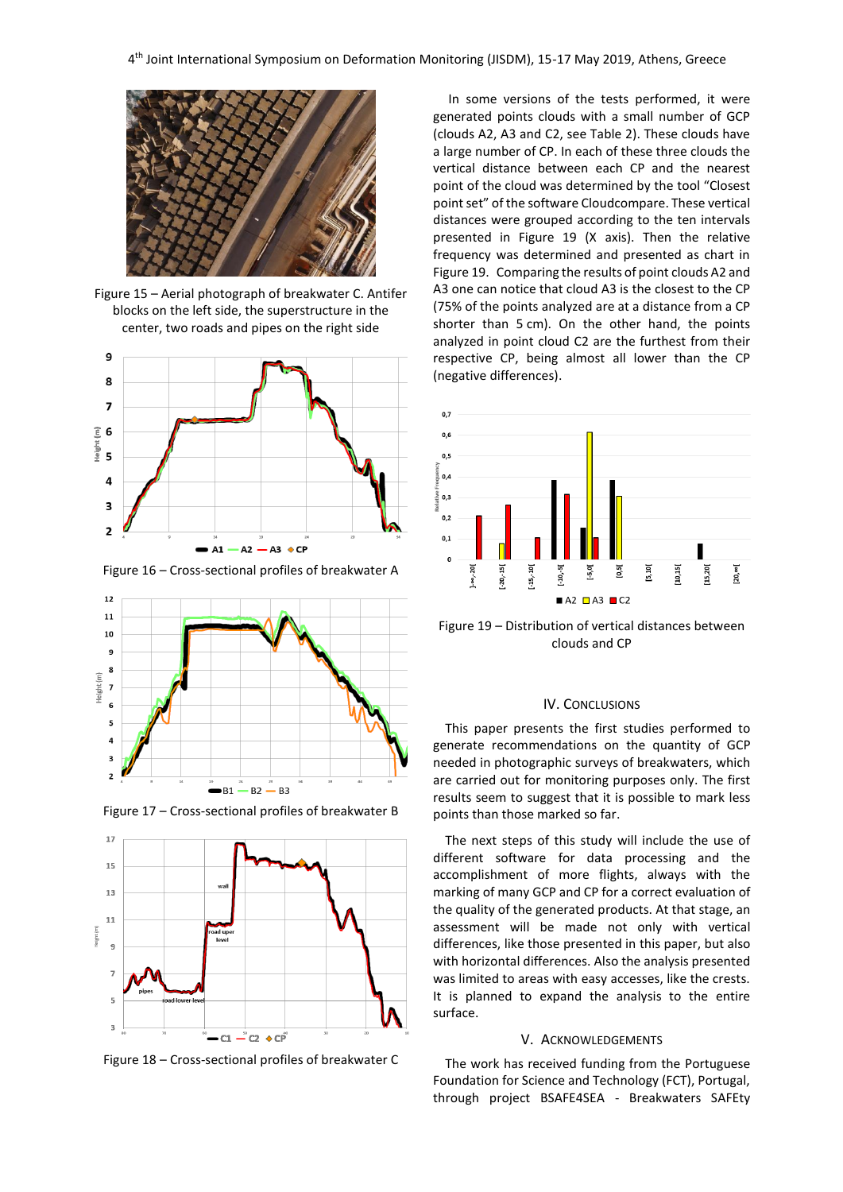

Figure 15 – Aerial photograph of breakwater C. Antifer blocks on the left side, the superstructure in the center, two roads and pipes on the right side



Figure 16 – Cross-sectional profiles of breakwater A



Figure 17 – Cross-sectional profiles of breakwater B



Figure 18 – Cross-sectional profiles of breakwater C

In some versions of the tests performed, it were generated points clouds with a small number of GCP (clouds A2, A3 and C2, see Table 2). These clouds have a large number of CP. In each of these three clouds the vertical distance between each CP and the nearest point of the cloud was determined by the tool "Closest point set" of the software Cloudcompare. These vertical distances were grouped according to the ten intervals presented in Figure 19 (X axis). Then the relative frequency was determined and presented as chart in Figure 19. Comparing the results of point clouds A2 and A3 one can notice that cloud A3 is the closest to the CP (75% of the points analyzed are at a distance from a CP shorter than 5 cm). On the other hand, the points analyzed in point cloud C2 are the furthest from their respective CP, being almost all lower than the CP (negative differences).



Figure 19 – Distribution of vertical distances between clouds and CP

## IV. CONCLUSIONS

This paper presents the first studies performed to generate recommendations on the quantity of GCP needed in photographic surveys of breakwaters, which are carried out for monitoring purposes only. The first results seem to suggest that it is possible to mark less points than those marked so far.

The next steps of this study will include the use of different software for data processing and the accomplishment of more flights, always with the marking of many GCP and CP for a correct evaluation of the quality of the generated products. At that stage, an assessment will be made not only with vertical differences, like those presented in this paper, but also with horizontal differences. Also the analysis presented was limited to areas with easy accesses, like the crests. It is planned to expand the analysis to the entire surface.

#### V. ACKNOWLEDGEMENTS

The work has received funding from the Portuguese Foundation for Science and Technology (FCT), Portugal, through project BSAFE4SEA - Breakwaters SAFEty